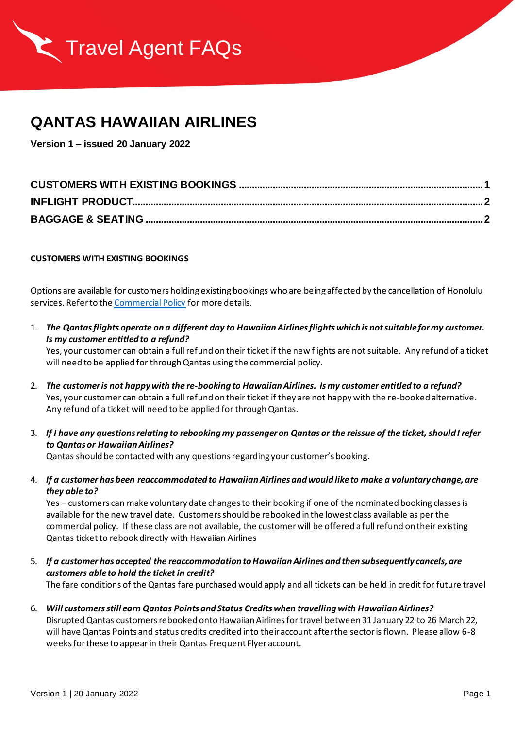

## **QANTAS HAWAIIAN AIRLINES**

**Version 1 – issued 20 January 2022**

## <span id="page-0-0"></span>**CUSTOMERS WITH EXISTING BOOKINGS**

Options are available for customers holding existing bookings who are being affected by the cancellation of Honolulu services. Refer to th[e Commercial Policy](https://www.qantas.com/agencyconnect/au/en/agency-news/agency-news-january-22/commercial-policy-for-qantas-customers-affected-by-honolulu-cancellations.html) for more details.

1. *The Qantas flights operate on a different day to Hawaiian Airlines flights which is not suitable for my customer. Is my customer entitled to a refund?*

Yes, your customer can obtain a full refund on their ticket if the new flights are not suitable. Any refund of a ticket will need to be applied for through Qantas using the commercial policy.

- 2. *The customer is not happy with the re-booking to Hawaiian Airlines. Is my customer entitled to a refund?* Yes, your customer can obtain a full refund on their ticket if they are not happy with the re-booked alternative. Any refund of a ticket will need to be applied for through Qantas.
- 3. *If I have any questions relating to rebooking my passenger on Qantas or the reissue of the ticket, should I refer to Qantas or Hawaiian Airlines?*

Qantas should be contacted with any questions regarding your customer's booking.

4. *If a customer has been reaccommodated to Hawaiian Airlines and would like to make a voluntary change, are they able to?*

Yes – customers can make voluntary date changes to their booking if one of the nominated booking classes is available for the new travel date. Customers should be rebooked in the lowest class available as per the commercial policy. If these class are not available, the customerwill be offered a full refund on their existing Qantas ticketto rebook directly with Hawaiian Airlines

5. *If a customer has accepted the reaccommodation to Hawaiian Airlines and then subsequently cancels, are customers able to hold the ticket in credit?*

The fare conditions of the Qantas fare purchased would apply and all tickets can be held in credit for future travel

6. *Will customersstill earn Qantas Points and Status Credits when travelling with Hawaiian Airlines?* Disrupted Qantas customers rebooked onto Hawaiian Airlines for travel between 31 January 22 to 26 March 22, will have Qantas Points and status credits credited into their account after the sector is flown. Please allow 6-8 weeks for these to appear in their Qantas Frequent Flyer account.